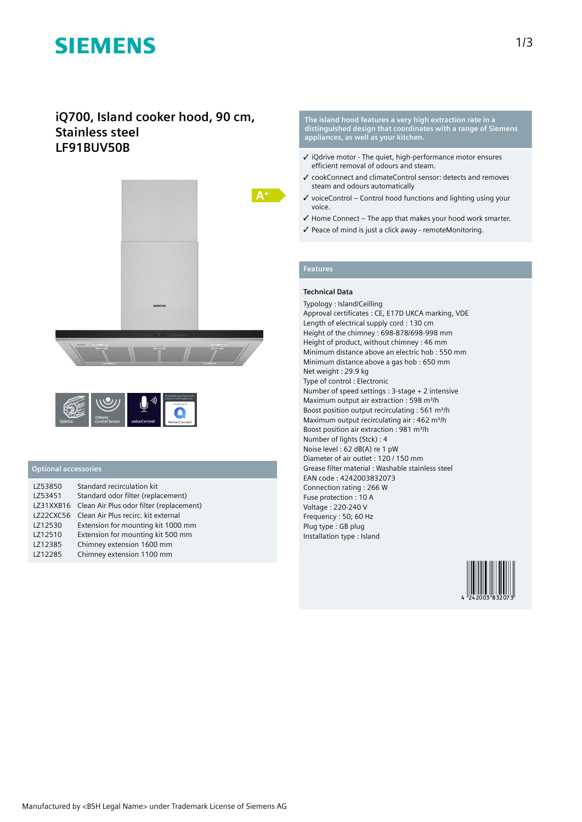# **SIEMENS**

# **iQ700, Island cooker hood, 90 cm, Stainless steel LF91BUV50B**





## **Optional accessories**

| LZ53850   | Standard recirculation kit               |
|-----------|------------------------------------------|
| LZ53451   | Standard odor filter (replacement)       |
| LZ31XXB16 | Clean Air Plus odor filter (replacement) |
| LZ22CXC56 | Clean Air Plus recirc, kit external      |
| LZ12530   | Extension for mounting kit 1000 mm       |
| LZ12510   | Extension for mounting kit 500 mm        |
| LZ12385   | Chimney extension 1600 mm                |
| LZ12285   | Chimney extension 1100 mm                |
|           |                                          |

**The island hood features a very high extraction rate in a distinguished design that coordinates with a range of Siemens appliances, as well as your kitchen.**

- ✓ iQdrive motor The quiet, high-performance motor ensures efficient removal of odours and steam.
- ✓ cookConnect and climateControl sensor: detects and removes steam and odours automatically
- $\checkmark$  voiceControl Control hood functions and lighting using your voice.
- ✓ Home Connect The app that makes your hood work smarter.
- ✓ Peace of mind is just a click away remoteMonitoring.

## **Features**

### **Technical Data**

Typology : Island/Ceilling Approval certificates : CE, E17D UKCA marking, VDE Length of electrical supply cord : 130 cm Height of the chimney : 698-878/698-998 mm Height of product, without chimney : 46 mm Minimum distance above an electric hob : 550 mm Minimum distance above a gas hob : 650 mm Net weight : 29.9 kg Type of control : Electronic Number of speed settings : 3-stage + 2 intensive Maximum output air extraction : 598 m<sup>3</sup>/h Boost position output recirculating : 561 m<sup>3</sup>/h Maximum output recirculating air : 462 m<sup>3</sup>/h Boost position air extraction : 981 m<sup>3</sup>/h Number of lights (Stck) : 4 Noise level : 62 dB(A) re 1 pW Diameter of air outlet : 120 / 150 mm Grease filter material : Washable stainless steel EAN code : 4242003832073 Connection rating : 266 W Fuse protection : 10 A Voltage : 220-240 V Frequency : 50; 60 Hz Plug type : GB plug Installation type : Island

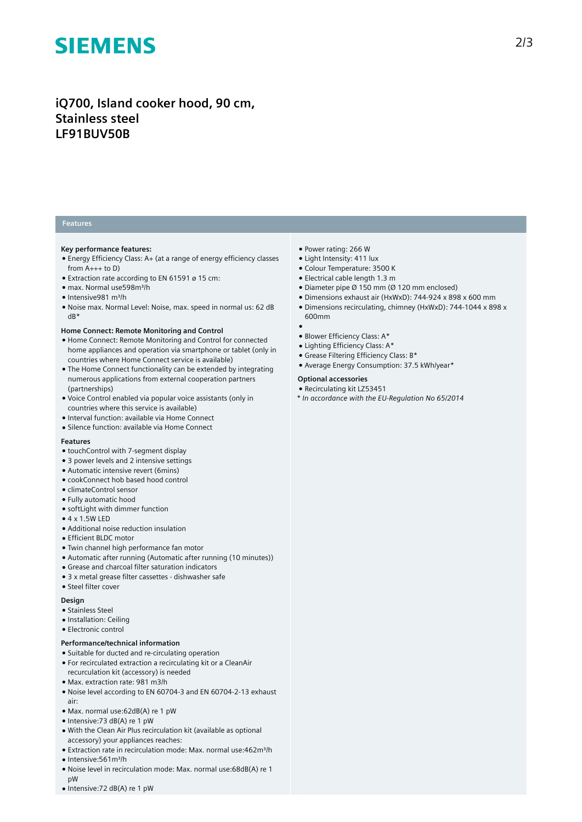# **SIEMENS**

# **iQ700, Island cooker hood, 90 cm, Stainless steel LF91BUV50B**

### **Features**

#### **Key performance features:**

- Energy Efficiency Class: A+ (at a range of energy efficiency classes from  $A_{+++}$  to D)
- Extraction rate according to EN 61591 ø 15 cm:
- max. Normal use598m³/h
- Intensive981 m³/h
- Noise max. Normal Level: Noise, max. speed in normal us: 62 dB dB\*

#### **Home Connect: Remote Monitoring and Control**

- Home Connect: Remote Monitoring and Control for connected home appliances and operation via smartphone or tablet (only in countries where Home Connect service is available)
- The Home Connect functionality can be extended by integrating numerous applications from external cooperation partners (partnerships)
- Voice Control enabled via popular voice assistants (only in countries where this service is available)
- Interval function: available via Home Connect
- Silence function: available via Home Connect

#### **Features**

- touchControl with 7-segment display
- 3 power levels and 2 intensive settings
- Automatic intensive revert (6mins)
- cookConnect hob based hood control
- climateControl sensor
- Fully automatic hood
- softLight with dimmer function
- $\bullet$  4 x 1.5W LED
- Additional noise reduction insulation
- Efficient BLDC motor
- Twin channel high performance fan motor
- Automatic after running (Automatic after running (10 minutes))
- Grease and charcoal filter saturation indicators
- 3 x metal grease filter cassettes dishwasher safe
- Steel filter cover

#### **Design**

- Stainless Steel
- Installation: Ceiling
- Electronic control

### **Performance/technical information**

- Suitable for ducted and re-circulating operation
- For recirculated extraction a recirculating kit or a CleanAir recurculation kit (accessory) is needed
- Max. extraction rate: 981 m3/h
- Noise level according to EN 60704-3 and EN 60704-2-13 exhaust air:
- Max. normal use:62dB(A) re 1 pW
- Intensive:73 dB(A) re 1 pW
- With the Clean Air Plus recirculation kit (available as optional accessory) your appliances reaches:
- Extraction rate in recirculation mode: Max. normal use:462m<sup>3</sup>/h • Intensive: 561 m<sup>3</sup>/h
- 
- Noise level in recirculation mode: Max. normal use:68dB(A) re 1 pW ● Intensive:72 dB(A) re 1 pW
- 
- Power rating: 266 W ● Light Intensity: 411 lux
	- Colour Temperature: 3500 K
	- Electrical cable length 1.3 m
	- Diameter pipe Ø 150 mm (Ø 120 mm enclosed)
	- Dimensions exhaust air (HxWxD): 744-924 x 898 x 600 mm
	- Dimensions recirculating, chimney (HxWxD): 744-1044 x 898 x 600mm

2/3

#### ●

- Blower Efficiency Class: A\*
- Lighting Efficiency Class: A\*
- Grease Filtering Efficiency Class: B\*
- Average Energy Consumption: 37.5 kWh/year\*

#### **Optional accessories**

- Recirculating kit LZ53451
- *\* In accordance with the EU-Regulation No 65/2014*